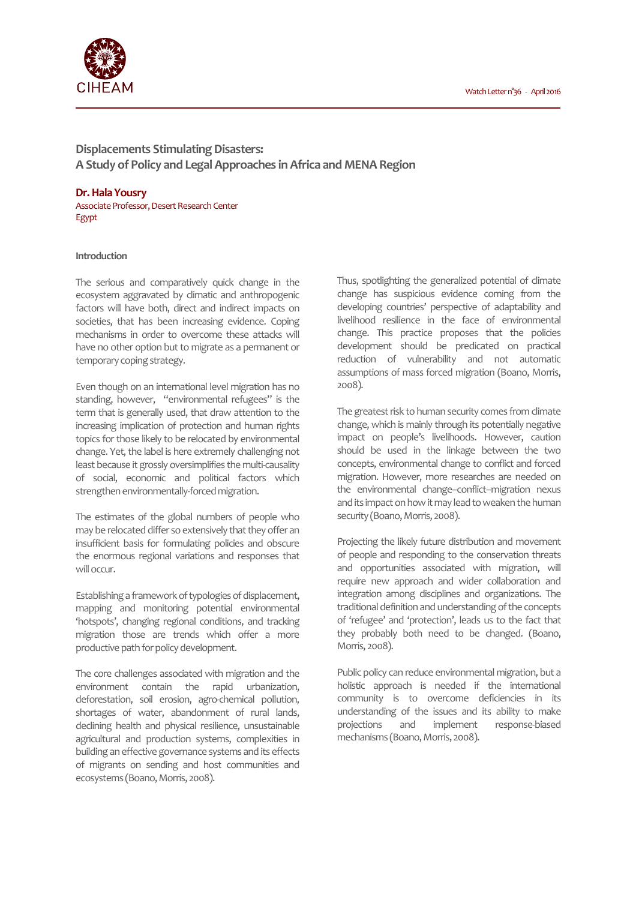

**Displacements Stimulating Disasters: A Study of Policy and Legal Approaches in Africa and MENA Region** 

# **Dr. Hala Yousry**

Associate Professor, Desert Research Center Egypt

# **Introduction**

The serious and comparatively quick change in the ecosystem aggravated by climatic and anthropogenic factors will have both, direct and indirect impacts on societies, that has been increasing evidence. Coping mechanisms in order to overcome these attacks will have no other option but to migrate as a permanent or temporary coping strategy.

Even though on an international level migration has no standing, however, "environmental refugees" is the term that is generally used, that draw attention to the increasing implication of protection and human rights topics for those likely to be relocated by environmental change. Yet, the label is here extremely challenging not least because it grossly oversimplifies the multi-causality of social, economic and political factors which strengthen environmentally-forced migration.

The estimates of the global numbers of people who may be relocated differ so extensively that they offer an insufficient basis for formulating policies and obscure the enormous regional variations and responses that will occur.

Establishing a framework of typologies of displacement, mapping and monitoring potential environmental 'hotspots', changing regional conditions, and tracking migration those are trends which offer a more productive path for policy development.

The core challenges associated with migration and the environment contain the rapid urbanization, deforestation, soil erosion, agro-chemical pollution, shortages of water, abandonment of rural lands, declining health and physical resilience, unsustainable agricultural and production systems, complexities in building an effective governance systems and its effects of migrants on sending and host communities and ecosystems (Boano, Morris, 2008).

Thus, spotlighting the generalized potential of climate change has suspicious evidence coming from the developing countries' perspective of adaptability and livelihood resilience in the face of environmental change. This practice proposes that the policies development should be predicated on practical reduction of vulnerability and not automatic assumptions of mass forced migration (Boano, Morris, 2008).

The greatest risk to human security comes from climate change, which is mainly through its potentially negative impact on people's livelihoods. However, caution should be used in the linkage between the two concepts, environmental change to conflict and forced migration. However, more researches are needed on the environmental change–conflict–migration nexus and its impact on how it may lead to weaken the human security (Boano, Morris, 2008).

Projecting the likely future distribution and movement of people and responding to the conservation threats and opportunities associated with migration, will require new approach and wider collaboration and integration among disciplines and organizations. The traditional definition and understanding of the concepts of 'refugee' and 'protection', leads us to the fact that they probably both need to be changed. (Boano, Morris, 2008).

Public policy can reduce environmental migration, but a holistic approach is needed if the international community is to overcome deficiencies in its understanding of the issues and its ability to make projections and implement response-biased mechanisms (Boano, Morris, 2008).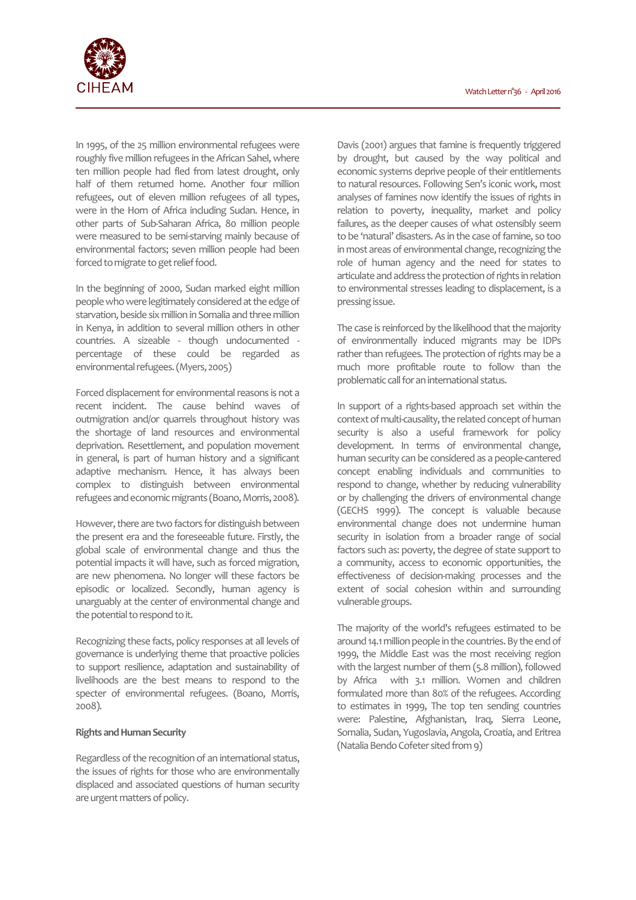

In 1995, of the 25 million environmental refugees were roughly five million refugees in the African Sahel, where ten million people had fled from latest drought, only half of them returned home. Another four million refugees, out of eleven million refugees of all types, were in the Horn of Africa including Sudan. Hence, in other parts of Sub-Saharan Africa, 80 million people were measured to be semi-starving mainly because of environmental factors; seven million people had been forced to migrate to get relief food.

In the beginning of 2000, Sudan marked eight million people who were legitimately considered at the edge of starvation, beside six million in Somalia and three million in Kenya, in addition to several million others in other countries. A sizeable - though undocumented percentage of these could be regarded as environmental refugees. (Myers, 2005)

Forced displacement for environmental reasons is not a recent incident. The cause behind waves of outmigration and/or quarrels throughout history was the shortage of land resources and environmental deprivation. Resettlement, and population movement in general, is part of human history and a significant adaptive mechanism. Hence, it has always been complex to distinguish between environmental refugees and economic migrants (Boano, Morris, 2008).

However, there are two factors for distinguish between the present era and the foreseeable future. Firstly, the global scale of environmental change and thus the potential impacts it will have, such as forced migration, are new phenomena. No longer will these factors be episodic or localized. Secondly, human agency is unarguably at the center of environmental change and the potential to respond to it.

Recognizing these facts, policy responses at all levels of governance is underlying theme that proactive policies to support resilience, adaptation and sustainability of livelihoods are the best means to respond to the specter of environmental refugees. (Boano, Morris, 2008).

# **Rights and Human Security**

Regardless of the recognition of an international status, the issues of rights for those who are environmentally displaced and associated questions of human security are urgent matters of policy.

Davis (2001) argues that famine is frequently triggered by drought, but caused by the way political and economic systems deprive people of their entitlements to natural resources. Following Sen's iconic work, most analyses of famines now identify the issues of rights in relation to poverty, inequality, market and policy failures, as the deeper causes of what ostensibly seem to be 'natural' disasters. As in the case of famine, so too in most areas of environmental change, recognizing the role of human agency and the need for states to articulate and address the protection of rights in relation to environmental stresses leading to displacement, is a pressing issue.

The case is reinforced by the likelihood that the majority of environmentally induced migrants may be IDPs rather than refugees. The protection of rights may be a much more profitable route to follow than the problematic call for an international status.

In support of a rights-based approach set within the context of multi-causality, the related concept of human security is also a useful framework for policy development. In terms of environmental change, human security can be considered as a people-cantered concept enabling individuals and communities to respond to change, whether by reducing vulnerability or by challenging the drivers of environmental change (GECHS 1999). The concept is valuable because environmental change does not undermine human security in isolation from a broader range of social factors such as: poverty, the degree of state support to a community, access to economic opportunities, the effectiveness of decision-making processes and the extent of social cohesion within and surrounding vulnerable groups.

The majority of the world's refugees estimated to be around 14.1 million people in the countries. By the end of 1999, the Middle East was the most receiving region with the largest number of them (5.8 million), followed by Africa with 3.1 million. Women and children formulated more than 80% of the refugees. According to estimates in 1999, The top ten sending countries were: Palestine, Afghanistan, Iraq, Sierra Leone, Somalia, Sudan, Yugoslavia, Angola, Croatia, and Eritrea (Natalia Bendo Cofeter sited from 9)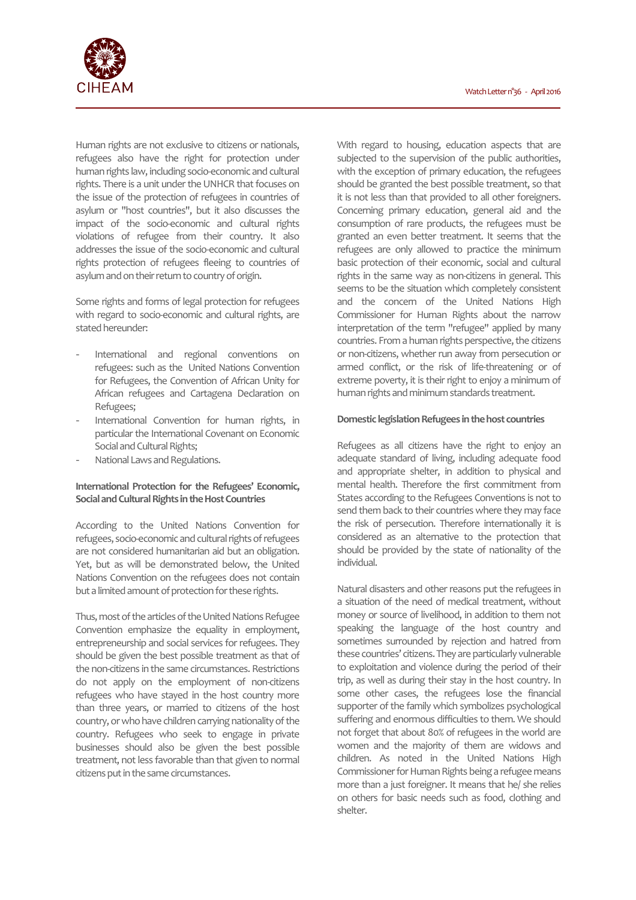

Human rights are not exclusive to citizens or nationals, refugees also have the right for protection under human rights law, including socio-economic and cultural rights. There is a unit under the UNHCR that focuses on the issue of the protection of refugees in countries of asylum or "host countries", but it also discusses the impact of the socio-economic and cultural rights violations of refugee from their country. It also addresses the issue of the socio-economic and cultural rights protection of refugees fleeing to countries of asylum and on their return to country of origin.

Some rights and forms of legal protection for refugees with regard to socio-economic and cultural rights, are stated hereunder:

- International and regional conventions on refugees: such as the United Nations Convention for Refugees, the Convention of African Unity for African refugees and Cartagena Declaration on Refugees;
- International Convention for human rights, in particular the International Covenant on Economic Social and Cultural Rights;
- National Laws and Regulations.

# **International Protection for the Refugees' Economic, Social and Cultural Rights in the Host Countries**

According to the United Nations Convention for refugees, socio-economic and cultural rights of refugees are not considered humanitarian aid but an obligation. Yet, but as will be demonstrated below, the United Nations Convention on the refugees does not contain but a limited amount of protection for these rights.

Thus, most of the articles of the United Nations Refugee Convention emphasize the equality in employment, entrepreneurship and social services for refugees. They should be given the best possible treatment as that of the non-citizens in the same circumstances. Restrictions do not apply on the employment of non-citizens refugees who have stayed in the host country more than three years, or married to citizens of the host country, or who have children carrying nationality of the country. Refugees who seek to engage in private businesses should also be given the best possible treatment, not less favorable than that given to normal citizens put in the same circumstances.

With regard to housing, education aspects that are subjected to the supervision of the public authorities, with the exception of primary education, the refugees should be granted the best possible treatment, so that it is not less than that provided to all other foreigners. Concerning primary education, general aid and the consumption of rare products, the refugees must be granted an even better treatment. It seems that the refugees are only allowed to practice the minimum basic protection of their economic, social and cultural rights in the same way as non-citizens in general. This seems to be the situation which completely consistent and the concern of the United Nations High Commissioner for Human Rights about the narrow interpretation of the term "refugee" applied by many countries. From a human rights perspective, the citizens or non-citizens, whether run away from persecution or armed conflict, or the risk of life-threatening or of extreme poverty, it is their right to enjoy a minimum of human rights and minimum standards treatment.

### **Domestic legislation Refugees in the host countries**

Refugees as all citizens have the right to enjoy an adequate standard of living, including adequate food and appropriate shelter, in addition to physical and mental health. Therefore the first commitment from States according to the Refugees Conventions is not to send them back to their countries where they may face the risk of persecution. Therefore internationally it is considered as an alternative to the protection that should be provided by the state of nationality of the individual.

Natural disasters and other reasons put the refugees in a situation of the need of medical treatment, without money or source of livelihood, in addition to them not speaking the language of the host country and sometimes surrounded by rejection and hatred from these countries' citizens. They are particularly vulnerable to exploitation and violence during the period of their trip, as well as during their stay in the host country. In some other cases, the refugees lose the financial supporter of the family which symbolizes psychological suffering and enormous difficulties to them. We should not forget that about 80% of refugees in the world are women and the majority of them are widows and children. As noted in the United Nations High Commissioner for Human Rights being a refugee means more than a just foreigner. It means that he/ she relies on others for basic needs such as food, clothing and shelter.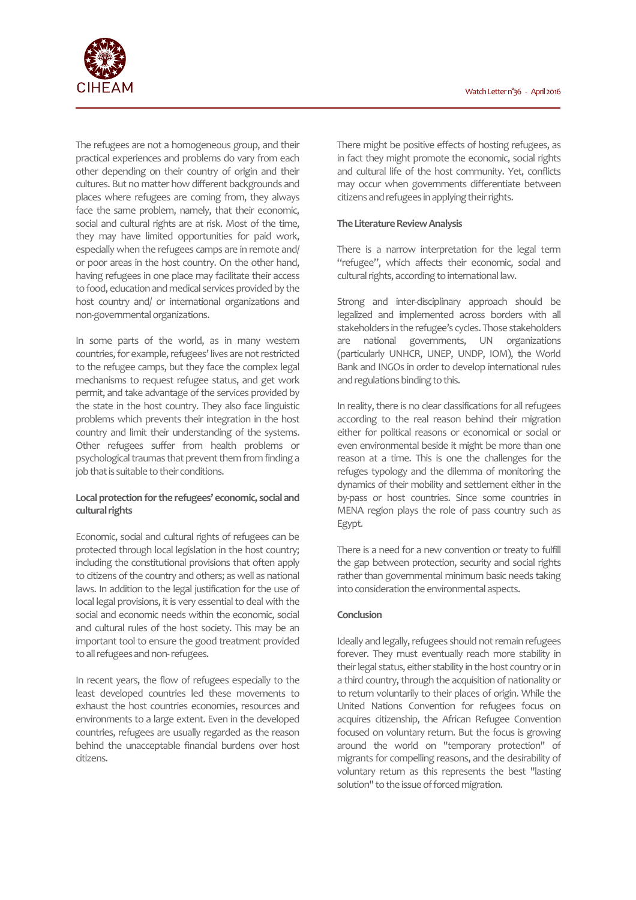

The refugees are not a homogeneous group, and their practical experiences and problems do vary from each other depending on their country of origin and their cultures. But no matter how different backgrounds and places where refugees are coming from, they always face the same problem, namely, that their economic, social and cultural rights are at risk. Most of the time, they may have limited opportunities for paid work, especially when the refugees camps are in remote and/ or poor areas in the host country. On the other hand, having refugees in one place may facilitate their access to food, education and medical services provided by the host country and/ or international organizations and non-governmental organizations.

In some parts of the world, as in many western countries, for example, refugees' lives are not restricted to the refugee camps, but they face the complex legal mechanisms to request refugee status, and get work permit, and take advantage of the services provided by the state in the host country. They also face linguistic problems which prevents their integration in the host country and limit their understanding of the systems. Other refugees suffer from health problems or psychological traumas that prevent them from finding a job that is suitable to their conditions.

# **Local protection for the refugees' economic, social and cultural rights**

Economic, social and cultural rights of refugees can be protected through local legislation in the host country; including the constitutional provisions that often apply to citizens of the country and others; as well as national laws. In addition to the legal justification for the use of local legal provisions, it is very essential to deal with the social and economic needs within the economic, social and cultural rules of the host society. This may be an important tool to ensure the good treatment provided to all refugees and non- refugees.

In recent years, the flow of refugees especially to the least developed countries led these movements to exhaust the host countries economies, resources and environments to a large extent. Even in the developed countries, refugees are usually regarded as the reason behind the unacceptable financial burdens over host citizens.

There might be positive effects of hosting refugees, as in fact they might promote the economic, social rights and cultural life of the host community. Yet, conflicts may occur when governments differentiate between citizens and refugees in applying their rights.

### **The Literature Review Analysis**

There is a narrow interpretation for the legal term "refugee", which affects their economic, social and cultural rights, according to international law.

Strong and inter-disciplinary approach should be legalized and implemented across borders with all stakeholders in the refugee's cycles. Those stakeholders are national governments, UN organizations (particularly UNHCR, UNEP, UNDP, IOM), the World Bank and INGOs in order to develop international rules and regulations binding to this.

In reality, there is no clear classifications for all refugees according to the real reason behind their migration either for political reasons or economical or social or even environmental beside it might be more than one reason at a time. This is one the challenges for the refuges typology and the dilemma of monitoring the dynamics of their mobility and settlement either in the by-pass or host countries. Since some countries in MENA region plays the role of pass country such as Egypt.

There is a need for a new convention or treaty to fulfill the gap between protection, security and social rights rather than governmental minimum basic needs taking into consideration the environmental aspects.

#### **Conclusion**

Ideally and legally, refugees should not remain refugees forever. They must eventually reach more stability in their legal status, either stability in the host country or in a third country, through the acquisition of nationality or to return voluntarily to their places of origin. While the United Nations Convention for refugees focus on acquires citizenship, the African Refugee Convention focused on voluntary return. But the focus is growing around the world on "temporary protection" of migrants for compelling reasons, and the desirability of voluntary return as this represents the best "lasting solution" to the issue of forced migration.